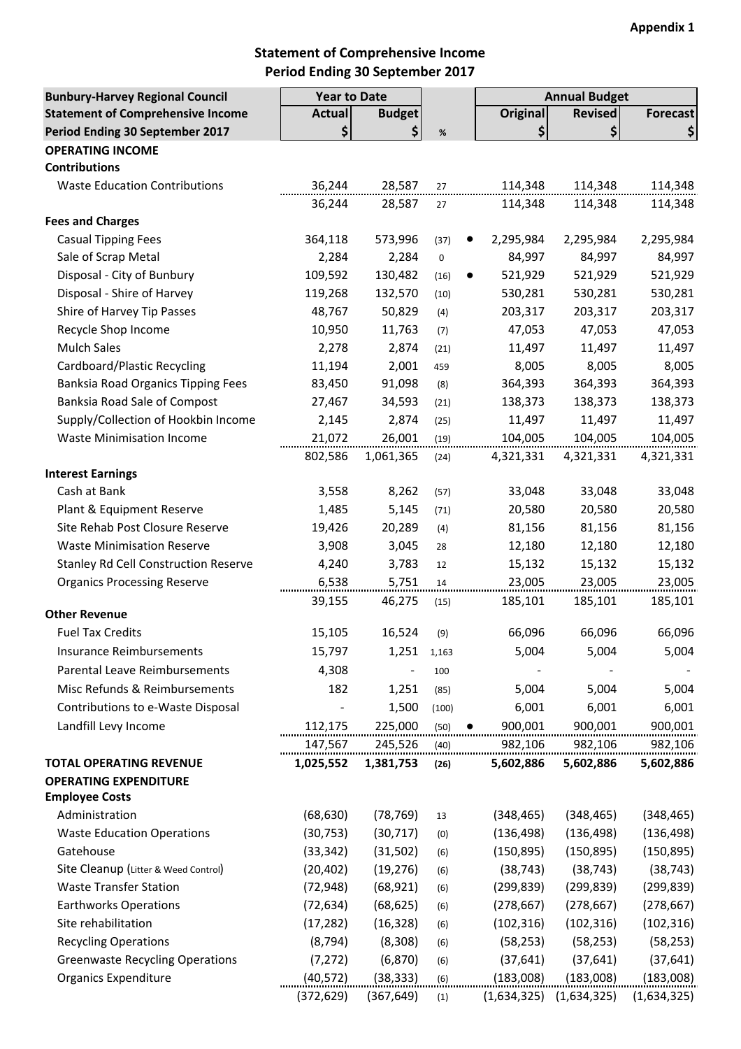# **Statement of Comprehensive Income Period Ending 30 September 2017**

| <b>Bunbury-Harvey Regional Council</b>      | <b>Year to Date</b> |               |       | <b>Annual Budget</b> |                |                 |
|---------------------------------------------|---------------------|---------------|-------|----------------------|----------------|-----------------|
| <b>Statement of Comprehensive Income</b>    | <b>Actual</b>       | <b>Budget</b> |       | <b>Original</b>      | <b>Revised</b> | <b>Forecast</b> |
| Period Ending 30 September 2017             | \$                  | \$            | %     | \$                   | \$             | \$              |
| <b>OPERATING INCOME</b>                     |                     |               |       |                      |                |                 |
| <b>Contributions</b>                        |                     |               |       |                      |                |                 |
| <b>Waste Education Contributions</b>        | 36,244              | 28,587        | 27    | 114,348              | 114,348        | 114,348         |
|                                             | 36,244              | 28,587        | 27    | 114,348              | 114,348        | 114,348         |
| <b>Fees and Charges</b>                     |                     |               |       |                      |                |                 |
| <b>Casual Tipping Fees</b>                  | 364,118             | 573,996       | (37)  | 2,295,984            | 2,295,984      | 2,295,984       |
| Sale of Scrap Metal                         | 2,284               | 2,284         | 0     | 84,997               | 84,997         | 84,997          |
| Disposal - City of Bunbury                  | 109,592             | 130,482       | (16)  | 521,929              | 521,929        | 521,929         |
| Disposal - Shire of Harvey                  | 119,268             | 132,570       | (10)  | 530,281              | 530,281        | 530,281         |
| Shire of Harvey Tip Passes                  | 48,767              | 50,829        | (4)   | 203,317              | 203,317        | 203,317         |
| Recycle Shop Income                         | 10,950              | 11,763        | (7)   | 47,053               | 47,053         | 47,053          |
| <b>Mulch Sales</b>                          | 2,278               | 2,874         | (21)  | 11,497               | 11,497         | 11,497          |
| Cardboard/Plastic Recycling                 | 11,194              | 2,001         | 459   | 8,005                | 8,005          | 8,005           |
| <b>Banksia Road Organics Tipping Fees</b>   | 83,450              | 91,098        | (8)   | 364,393              | 364,393        | 364,393         |
| Banksia Road Sale of Compost                | 27,467              | 34,593        | (21)  | 138,373              | 138,373        | 138,373         |
| Supply/Collection of Hookbin Income         | 2,145               | 2,874         | (25)  | 11,497               | 11,497         | 11,497          |
| <b>Waste Minimisation Income</b>            | 21,072              | 26,001        | (19)  | 104,005              | 104,005        | 104,005         |
|                                             | 802,586             | 1,061,365     | (24)  | 4,321,331            | 4,321,331      | 4,321,331       |
| <b>Interest Earnings</b>                    |                     |               |       |                      |                |                 |
| Cash at Bank                                | 3,558               | 8,262         | (57)  | 33,048               | 33,048         | 33,048          |
| Plant & Equipment Reserve                   | 1,485               | 5,145         | (71)  | 20,580               | 20,580         | 20,580          |
| Site Rehab Post Closure Reserve             | 19,426              | 20,289        | (4)   | 81,156               | 81,156         | 81,156          |
| <b>Waste Minimisation Reserve</b>           | 3,908               | 3,045         | 28    | 12,180               | 12,180         | 12,180          |
| <b>Stanley Rd Cell Construction Reserve</b> | 4,240               | 3,783         | 12    | 15,132               | 15,132         | 15,132          |
| <b>Organics Processing Reserve</b>          | 6,538               | 5,751         | 14    | 23,005               | 23,005         | 23,005          |
|                                             | 39,155              | 46,275        | (15)  | 185,101              | 185,101        | 185,101         |
| <b>Other Revenue</b>                        |                     |               |       |                      |                |                 |
| <b>Fuel Tax Credits</b>                     | 15,105              | 16,524        | (9)   | 66,096               | 66,096         | 66,096          |
| Insurance Reimbursements                    | 15,797              | 1,251         | 1,163 | 5,004                | 5,004          | 5,004           |
| Parental Leave Reimbursements               | 4,308               |               | 100   |                      |                |                 |
| Misc Refunds & Reimbursements               | 182                 | 1,251         | (85)  | 5,004                | 5,004          | 5,004           |
| Contributions to e-Waste Disposal           |                     | 1,500         | (100) | 6,001                | 6,001          | 6,001           |
| Landfill Levy Income                        | 112,175             | 225,000       | (50)  | 900,001<br>$\bullet$ | 900,001        | 900,001         |
|                                             | 147,567             | 245,526       | (40)  | 982,106              | 982,106        | 982,106         |
| <b>TOTAL OPERATING REVENUE</b>              | 1,025,552           | 1,381,753     | (26)  | 5,602,886            | 5,602,886      | 5,602,886       |
| <b>OPERATING EXPENDITURE</b>                |                     |               |       |                      |                |                 |
| <b>Employee Costs</b>                       |                     |               |       |                      |                |                 |
| Administration                              | (68, 630)           | (78, 769)     | 13    | (348, 465)           | (348, 465)     | (348, 465)      |
| <b>Waste Education Operations</b>           | (30, 753)           | (30, 717)     | (0)   | (136, 498)           | (136, 498)     | (136, 498)      |
| Gatehouse                                   | (33, 342)           | (31,502)      | (6)   | (150, 895)           | (150, 895)     | (150, 895)      |
| Site Cleanup (Litter & Weed Control)        | (20, 402)           | (19, 276)     | (6)   | (38, 743)            | (38, 743)      | (38, 743)       |
| <b>Waste Transfer Station</b>               | (72, 948)           | (68, 921)     | (6)   | (299, 839)           | (299, 839)     | (299, 839)      |
| <b>Earthworks Operations</b>                | (72, 634)           | (68, 625)     | (6)   | (278, 667)           | (278, 667)     | (278, 667)      |
| Site rehabilitation                         | (17, 282)           | (16, 328)     | (6)   | (102, 316)           | (102, 316)     | (102, 316)      |
| <b>Recycling Operations</b>                 | (8, 794)            | (8,308)       | (6)   | (58, 253)            | (58, 253)      | (58, 253)       |
| <b>Greenwaste Recycling Operations</b>      | (7, 272)            | (6, 870)      | (6)   | (37, 641)            | (37, 641)      | (37, 641)       |
| <b>Organics Expenditure</b>                 | (40, 572)           | (38, 333)     | (6)   | (183,008)            | (183,008)      | (183,008)       |
|                                             | (372,629)           | (367, 649)    | (1)   | (1,634,325)          | (1,634,325)    | (1,634,325)     |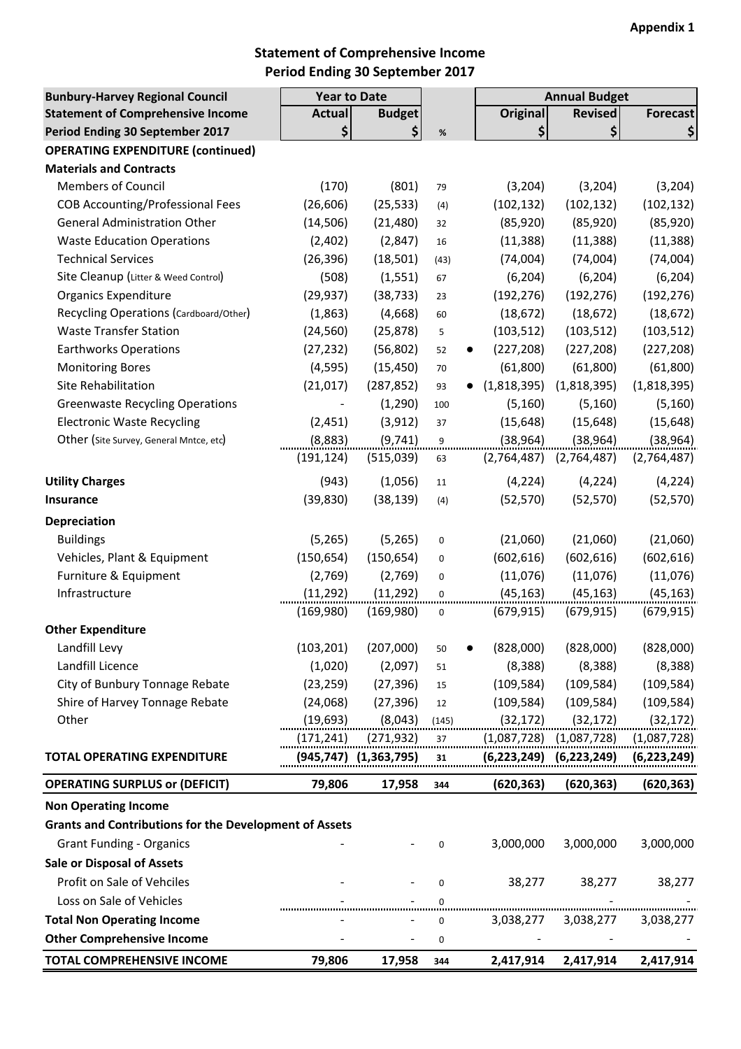# **Statement of Comprehensive Income Period Ending 30 September 2017**

| <b>Bunbury-Harvey Regional Council</b>                        | <b>Year to Date</b> |                          |             |                        | <b>Annual Budget</b> |                 |
|---------------------------------------------------------------|---------------------|--------------------------|-------------|------------------------|----------------------|-----------------|
| <b>Statement of Comprehensive Income</b>                      | <b>Actual</b>       | <b>Budget</b>            |             | <b>Original</b>        | <b>Revised</b>       | <b>Forecast</b> |
| Period Ending 30 September 2017                               | \$                  | \$                       | $\%$        | $\left  \right\rangle$ | \$                   | \$              |
| <b>OPERATING EXPENDITURE (continued)</b>                      |                     |                          |             |                        |                      |                 |
| <b>Materials and Contracts</b>                                |                     |                          |             |                        |                      |                 |
| <b>Members of Council</b>                                     | (170)               | (801)                    | 79          | (3, 204)               | (3,204)              | (3, 204)        |
| <b>COB Accounting/Professional Fees</b>                       | (26, 606)           | (25, 533)                | (4)         | (102, 132)             | (102, 132)           | (102, 132)      |
| <b>General Administration Other</b>                           | (14, 506)           | (21, 480)                | 32          | (85, 920)              | (85, 920)            | (85, 920)       |
| <b>Waste Education Operations</b>                             | (2,402)             | (2,847)                  | 16          | (11, 388)              | (11, 388)            | (11, 388)       |
| <b>Technical Services</b>                                     | (26, 396)           | (18, 501)                | (43)        | (74,004)               | (74,004)             | (74,004)        |
| Site Cleanup (Litter & Weed Control)                          | (508)               | (1, 551)                 | 67          | (6, 204)               | (6, 204)             | (6, 204)        |
| <b>Organics Expenditure</b>                                   | (29, 937)           | (38, 733)                | 23          | (192, 276)             | (192, 276)           | (192, 276)      |
| Recycling Operations (Cardboard/Other)                        | (1,863)             | (4,668)                  | 60          | (18, 672)              | (18, 672)            | (18, 672)       |
| <b>Waste Transfer Station</b>                                 | (24, 560)           | (25, 878)                | 5           | (103, 512)             | (103, 512)           | (103, 512)      |
| <b>Earthworks Operations</b>                                  | (27, 232)           | (56, 802)                | 52          | (227, 208)             | (227, 208)           | (227, 208)      |
| <b>Monitoring Bores</b>                                       | (4, 595)            | (15, 450)                | 70          | (61,800)               | (61,800)             | (61, 800)       |
| Site Rehabilitation                                           | (21, 017)           | (287, 852)               | 93          | (1,818,395)            | (1,818,395)          | (1,818,395)     |
| <b>Greenwaste Recycling Operations</b>                        |                     | (1, 290)                 | 100         | (5, 160)               | (5, 160)             | (5, 160)        |
| <b>Electronic Waste Recycling</b>                             | (2, 451)            | (3, 912)                 | 37          | (15, 648)              | (15, 648)            | (15, 648)       |
| Other (Site Survey, General Mntce, etc)                       | (8,883)             | (9, 741)                 | 9           | (38, 964)              | (38, 964)            | (38, 964)       |
|                                                               | (191, 124)          | (515,039)                | 63          | (2,764,487)            | (2,764,487)          | (2,764,487)     |
| <b>Utility Charges</b>                                        | (943)               | (1,056)                  | 11          | (4, 224)               | (4, 224)             | (4, 224)        |
| <b>Insurance</b>                                              | (39, 830)           | (38, 139)                | (4)         | (52, 570)              | (52, 570)            | (52, 570)       |
| <b>Depreciation</b>                                           |                     |                          |             |                        |                      |                 |
| <b>Buildings</b>                                              | (5,265)             | (5,265)                  | 0           | (21,060)               | (21,060)             | (21,060)        |
| Vehicles, Plant & Equipment                                   | (150, 654)          | (150, 654)               | 0           | (602, 616)             | (602, 616)           | (602, 616)      |
| Furniture & Equipment                                         | (2,769)             | (2,769)                  | $\mathbf 0$ | (11,076)               | (11,076)             | (11,076)        |
| Infrastructure                                                | (11, 292)           | (11, 292)                | 0           | (45, 163)              | (45, 163)            | (45, 163)       |
|                                                               | (169,980)           | (169,980)                | 0           | (679, 915)             | (679, 915)           | (679, 915)      |
| <b>Other Expenditure</b>                                      |                     |                          |             |                        |                      |                 |
| Landfill Levy                                                 | (103, 201)          | (207,000)                | 50          | (828,000)              | (828,000)            | (828,000)       |
| Landfill Licence                                              | (1,020)             | (2,097)                  | 51          | (8, 388)               | (8, 388)             | (8, 388)        |
| City of Bunbury Tonnage Rebate                                | (23, 259)           | (27, 396)                | 15          | (109, 584)             | (109, 584)           | (109, 584)      |
| Shire of Harvey Tonnage Rebate                                | (24,068)            | (27, 396)                | 12          | (109, 584)             | (109, 584)           | (109, 584)      |
| Other                                                         | (19, 693)           | (8,043)                  | (145)       | (32, 172)              | (32, 172)            | (32, 172)       |
|                                                               | (171,241)           | (271,932)                | 37          | (1,087,728)            | (1,087,728)          | (1,087,728)     |
| <b>TOTAL OPERATING EXPENDITURE</b>                            | (945,747)           | (1,363,795)              | 31          | (6,223,249)            | (6, 223, 249)        | (6,223,249)     |
| <b>OPERATING SURPLUS or (DEFICIT)</b>                         | 79,806              | 17,958                   | 344         | (620, 363)             | (620, 363)           | (620, 363)      |
| <b>Non Operating Income</b>                                   |                     |                          |             |                        |                      |                 |
| <b>Grants and Contributions for the Development of Assets</b> |                     |                          |             |                        |                      |                 |
| <b>Grant Funding - Organics</b>                               |                     |                          | $\mathbf 0$ | 3,000,000              | 3,000,000            | 3,000,000       |
| <b>Sale or Disposal of Assets</b>                             |                     |                          |             |                        |                      |                 |
|                                                               |                     |                          |             |                        |                      |                 |
| Profit on Sale of Vehciles                                    |                     |                          | 0           | 38,277                 | 38,277               | 38,277          |
| Loss on Sale of Vehicles                                      |                     |                          | $\mathbf 0$ |                        |                      |                 |
| <b>Total Non Operating Income</b>                             |                     |                          | 0           | 3,038,277              | 3,038,277            | 3,038,277       |
| <b>Other Comprehensive Income</b>                             |                     | $\overline{\phantom{a}}$ | 0           |                        |                      |                 |
| TOTAL COMPREHENSIVE INCOME                                    | 79,806              | 17,958                   | 344         | 2,417,914              | 2,417,914            | 2,417,914       |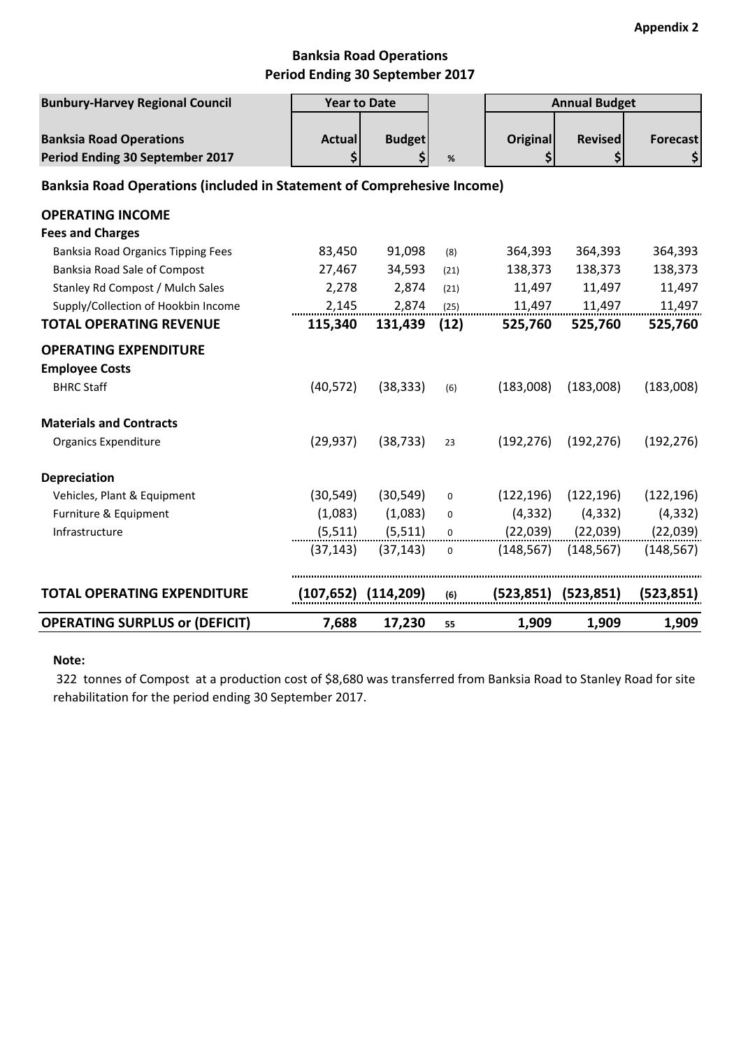### **Banksia Road Operations Period Ending 30 September 2017**

| <b>Bunbury-Harvey Regional Council</b>                                        | <b>Year to Date</b> |                           |             |                       | <b>Annual Budget</b>      |                       |
|-------------------------------------------------------------------------------|---------------------|---------------------------|-------------|-----------------------|---------------------------|-----------------------|
| <b>Banksia Road Operations</b><br>Period Ending 30 September 2017             | <b>Actual</b><br>\$ | <b>Budget</b><br>\$       | $\%$        | <b>Original</b><br>\$ | <b>Revised</b><br>\$      | <b>Forecast</b><br>\$ |
| <b>Banksia Road Operations (included in Statement of Comprehesive Income)</b> |                     |                           |             |                       |                           |                       |
| <b>OPERATING INCOME</b>                                                       |                     |                           |             |                       |                           |                       |
| <b>Fees and Charges</b>                                                       |                     |                           |             |                       |                           |                       |
| Banksia Road Organics Tipping Fees                                            | 83,450              | 91,098                    | (8)         | 364,393               | 364,393                   | 364,393               |
| Banksia Road Sale of Compost                                                  | 27,467              | 34,593                    | (21)        | 138,373               | 138,373                   | 138,373               |
| Stanley Rd Compost / Mulch Sales                                              | 2,278               | 2,874                     | (21)        | 11,497                | 11,497                    | 11,497                |
| Supply/Collection of Hookbin Income                                           | 2,145               | 2,874                     | (25)        | 11,497                | 11,497                    | 11,497                |
| <b>TOTAL OPERATING REVENUE</b>                                                | 115,340             | 131,439                   | (12)        | 525,760               | 525,760                   | 525,760               |
| <b>OPERATING EXPENDITURE</b>                                                  |                     |                           |             |                       |                           |                       |
| <b>Employee Costs</b>                                                         |                     |                           |             |                       |                           |                       |
| <b>BHRC Staff</b>                                                             | (40, 572)           | (38, 333)                 | (6)         | (183,008)             | (183,008)                 | (183,008)             |
| <b>Materials and Contracts</b>                                                |                     |                           |             |                       |                           |                       |
| <b>Organics Expenditure</b>                                                   | (29, 937)           | (38, 733)                 | 23          | (192, 276)            | (192, 276)                | (192, 276)            |
| <b>Depreciation</b>                                                           |                     |                           |             |                       |                           |                       |
| Vehicles, Plant & Equipment                                                   | (30, 549)           | (30, 549)                 | $\mathbf 0$ | (122, 196)            | (122, 196)                | (122, 196)            |
| Furniture & Equipment                                                         | (1,083)             | (1,083)                   | $\mathbf 0$ | (4, 332)              | (4, 332)                  | (4, 332)              |
| Infrastructure                                                                | (5, 511)            | (5, 511)                  | 0           | (22,039)              | (22,039)                  | (22,039)              |
|                                                                               | (37, 143)           | (37, 143)                 | $\mathbf 0$ | (148, 567)            | (148, 567)                | (148, 567)            |
| <b>TOTAL OPERATING EXPENDITURE</b>                                            |                     | $(107, 652)$ $(114, 209)$ | (6)         |                       | $(523, 851)$ $(523, 851)$ | (523, 851)            |
| <b>OPERATING SURPLUS or (DEFICIT)</b>                                         | 7,688               | 17,230                    | 55          | 1,909                 | 1,909                     | 1,909                 |

#### **Note:**

 322 tonnes of Compost at a production cost of \$8,680 was transferred from Banksia Road to Stanley Road for site rehabilitation for the period ending 30 September 2017.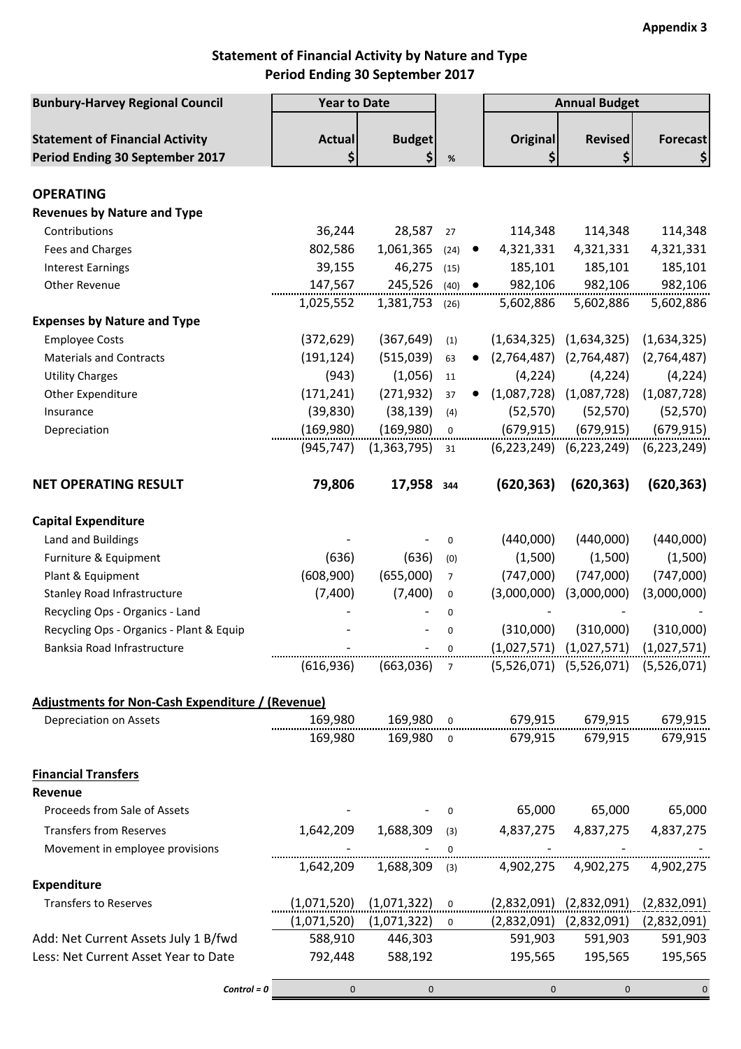## **Statement of Financial Activity by Nature and Type Period Ending 30 September 2017**

| <b>Bunbury-Harvey Regional Council</b>                                    | <b>Year to Date</b>                                     |                               |                   | <b>Annual Budget</b>                                    |                                           |                       |
|---------------------------------------------------------------------------|---------------------------------------------------------|-------------------------------|-------------------|---------------------------------------------------------|-------------------------------------------|-----------------------|
| <b>Statement of Financial Activity</b><br>Period Ending 30 September 2017 | <b>Actual</b><br>\$                                     | <b>Budget</b><br>\$           | %                 | <b>Original</b><br>\$                                   | <b>Revised</b><br>\$                      | <b>Forecast</b><br>\$ |
| <b>OPERATING</b>                                                          |                                                         |                               |                   |                                                         |                                           |                       |
| <b>Revenues by Nature and Type</b>                                        |                                                         |                               |                   |                                                         |                                           |                       |
| Contributions                                                             | 36,244                                                  | 28,587                        | 27                | 114,348                                                 | 114,348                                   | 114,348               |
| Fees and Charges                                                          | 802,586                                                 | 1,061,365                     | (24)<br>$\bullet$ | 4,321,331                                               | 4,321,331                                 | 4,321,331             |
| <b>Interest Earnings</b>                                                  | 39,155                                                  | 46,275                        | (15)              | 185,101                                                 | 185,101                                   | 185,101               |
| Other Revenue                                                             | 147,567                                                 | 245,526 (40)                  | $\bullet$         | 982,106                                                 | 982,106                                   | 982,106               |
|                                                                           | 1,025,552                                               | 1,381,753 (26)                |                   | 5,602,886                                               | 5,602,886                                 | 5,602,886             |
| <b>Expenses by Nature and Type</b>                                        |                                                         |                               |                   |                                                         |                                           |                       |
| <b>Employee Costs</b>                                                     | (372, 629)                                              | (367, 649)                    | (1)               |                                                         | $(1,634,325)$ $(1,634,325)$               | (1,634,325)           |
| <b>Materials and Contracts</b>                                            | (191, 124)                                              | (515,039)                     | 63                | (2,764,487)                                             | (2,764,487)                               | (2,764,487)           |
| <b>Utility Charges</b>                                                    | (943)                                                   | (1,056)                       | 11                | (4, 224)                                                | (4, 224)                                  | (4, 224)              |
| Other Expenditure                                                         | (171, 241)                                              | (271, 932)                    | 37                | (1,087,728)                                             | (1,087,728)                               | (1,087,728)           |
| Insurance                                                                 | (39, 830)                                               | (38, 139)                     | (4)               | (52, 570)                                               | (52, 570)                                 | (52, 570)             |
| Depreciation                                                              | (169,980)                                               | (169,980)                     | $\mathbf 0$       | (679, 915)                                              | (679, 915)                                | (679, 915)            |
|                                                                           | (945, 747)                                              | (1, 363, 795)                 | 31                | (6, 223, 249)                                           | (6, 223, 249)                             | (6, 223, 249)         |
|                                                                           |                                                         |                               |                   |                                                         |                                           |                       |
| <b>NET OPERATING RESULT</b>                                               | 79,806                                                  | 17,958 344                    |                   | (620, 363)                                              | (620, 363)                                | (620, 363)            |
| <b>Capital Expenditure</b>                                                |                                                         |                               |                   |                                                         |                                           |                       |
| Land and Buildings                                                        |                                                         |                               | $\mathbf 0$       | (440,000)                                               | (440,000)                                 | (440,000)             |
| Furniture & Equipment                                                     | (636)                                                   | (636)                         | (0)               | (1,500)                                                 | (1,500)                                   | (1,500)               |
| Plant & Equipment                                                         | (608,900)                                               | (655,000)                     | $\overline{7}$    | (747,000)                                               | (747,000)                                 | (747,000)             |
| <b>Stanley Road Infrastructure</b>                                        | (7,400)                                                 | (7,400)                       | $\boldsymbol{0}$  | (3,000,000)                                             | (3,000,000)                               | (3,000,000)           |
| Recycling Ops - Organics - Land                                           |                                                         |                               | 0                 |                                                         |                                           |                       |
| Recycling Ops - Organics - Plant & Equip                                  |                                                         |                               | 0                 | (310,000)                                               | (310,000)                                 | (310,000)             |
| Banksia Road Infrastructure                                               | $(1,027,571)$ $(1,027,571)$ $(1,027,571)$ $(1,027,571)$ |                               |                   |                                                         |                                           |                       |
|                                                                           | (616, 936)                                              |                               |                   | $(663,036)$ 7 $(5,526,071)$ $(5,526,071)$ $(5,526,071)$ |                                           |                       |
| Adjustments for Non-Cash Expenditure / (Revenue)                          |                                                         |                               |                   |                                                         |                                           |                       |
| Depreciation on Assets                                                    |                                                         |                               |                   |                                                         |                                           |                       |
|                                                                           | 169,980                                                 | 169,980 o                     |                   |                                                         | 679,915 679,915                           | 679,915               |
| <b>Financial Transfers</b><br>Revenue                                     |                                                         |                               |                   |                                                         |                                           |                       |
| Proceeds from Sale of Assets                                              |                                                         |                               | $\mathbf{0}$      |                                                         | 65,000 65,000                             | 65,000                |
| <b>Transfers from Reserves</b>                                            |                                                         | 1,642,209 1,688,309           | (3)               |                                                         | 4,837,275 4,837,275                       | 4,837,275             |
| Movement in employee provisions                                           |                                                         |                               | $\mathbf{0}$      |                                                         |                                           |                       |
|                                                                           | 1,642,209                                               | 1,688,309                     | (3)               |                                                         | 4,902,275 4,902,275                       | 4,902,275             |
| <b>Expenditure</b>                                                        |                                                         |                               |                   |                                                         |                                           |                       |
| <b>Transfers to Reserves</b>                                              |                                                         | $(1,071,520)$ $(1,071,322)$ 0 |                   |                                                         | $(2,832,091)$ $(2,832,091)$ $(2,832,091)$ |                       |
|                                                                           | (1,071,520)                                             | (1,071,322)                   | $\Omega$          |                                                         | $(2,832,091)$ $(2,832,091)$               | (2,832,091)           |
| Add: Net Current Assets July 1 B/fwd                                      | 588,910                                                 | 446,303                       |                   | 591,903                                                 | 591,903                                   | 591,903               |
| Less: Net Current Asset Year to Date                                      | 792,448                                                 | 588,192                       |                   | 195,565                                                 | 195,565                                   | 195,565               |
| $Control = 0$                                                             | $\mathbf{0}$                                            | $\mathbf 0$                   |                   | $\mathbf{0}$                                            | $\overline{0}$                            | $\mathbf 0$           |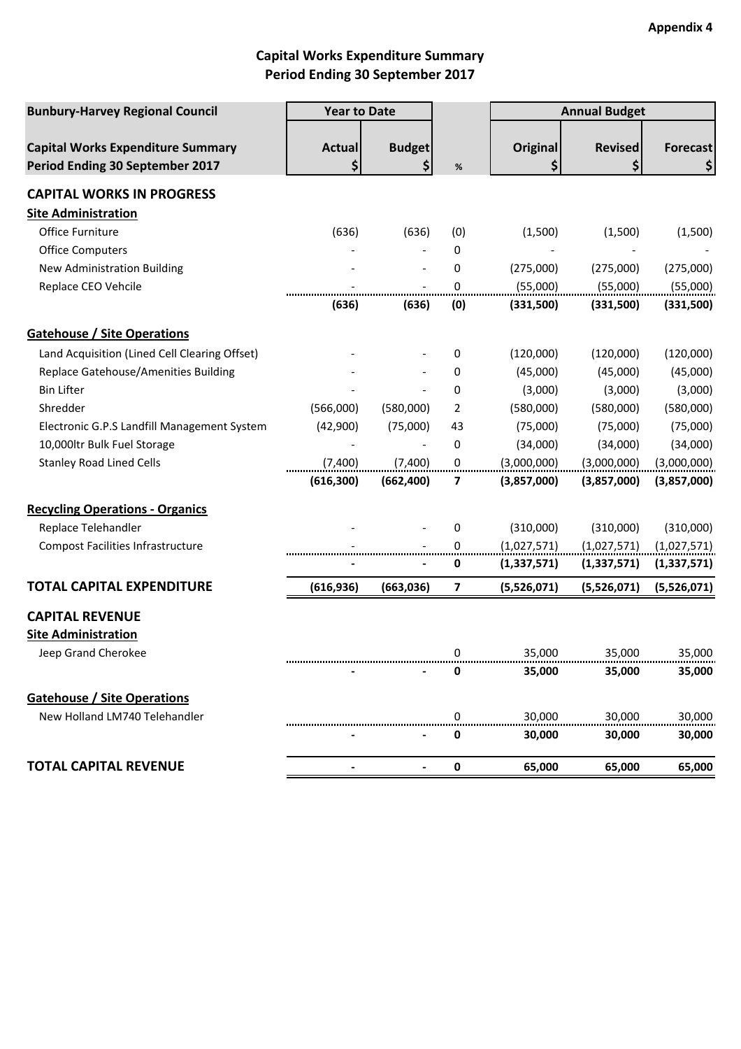# **Capital Works Expenditure Summary Period Ending 30 September 2017**

| <b>Bunbury-Harvey Regional Council</b>                                      | <b>Year to Date</b> |                          |                         |                       |                      | <b>Annual Budget</b>  |  |
|-----------------------------------------------------------------------------|---------------------|--------------------------|-------------------------|-----------------------|----------------------|-----------------------|--|
| <b>Capital Works Expenditure Summary</b><br>Period Ending 30 September 2017 | <b>Actual</b><br>\$ | <b>Budget</b><br>\$      | %                       | <b>Original</b><br>\$ | <b>Revised</b><br>\$ | <b>Forecast</b><br>\$ |  |
| <b>CAPITAL WORKS IN PROGRESS</b>                                            |                     |                          |                         |                       |                      |                       |  |
| <b>Site Administration</b>                                                  |                     |                          |                         |                       |                      |                       |  |
| Office Furniture                                                            | (636)               | (636)                    | (0)                     | (1,500)               | (1,500)              | (1,500)               |  |
| <b>Office Computers</b>                                                     |                     |                          | 0                       |                       |                      |                       |  |
| New Administration Building                                                 |                     |                          | 0                       | (275,000)             | (275,000)            | (275,000)             |  |
| Replace CEO Vehcile                                                         |                     |                          | 0                       | (55,000)              | (55,000)             | (55,000)              |  |
|                                                                             | (636)               | (636)                    | (0)                     | (331,500)             | (331,500)            | (331,500)             |  |
| <b>Gatehouse / Site Operations</b>                                          |                     |                          |                         |                       |                      |                       |  |
| Land Acquisition (Lined Cell Clearing Offset)                               |                     |                          | 0                       | (120,000)             | (120,000)            | (120,000)             |  |
| Replace Gatehouse/Amenities Building                                        |                     |                          | 0                       | (45,000)              | (45,000)             | (45,000)              |  |
| <b>Bin Lifter</b>                                                           |                     |                          | 0                       | (3,000)               | (3,000)              | (3,000)               |  |
| Shredder                                                                    | (566,000)           | (580,000)                | 2                       | (580,000)             | (580,000)            | (580,000)             |  |
| Electronic G.P.S Landfill Management System                                 | (42,900)            | (75,000)                 | 43                      | (75,000)              | (75,000)             | (75,000)              |  |
| 10,000ltr Bulk Fuel Storage                                                 |                     | $\overline{\phantom{a}}$ | 0                       | (34,000)              | (34,000)             | (34,000)              |  |
| <b>Stanley Road Lined Cells</b>                                             | (7,400)             | (7,400)                  | $\pmb{0}$               | (3,000,000)           | (3,000,000)          | (3,000,000)           |  |
|                                                                             | (616, 300)          | (662, 400)               | 7                       | (3,857,000)           | (3,857,000)          | (3,857,000)           |  |
| <b>Recycling Operations - Organics</b>                                      |                     |                          |                         |                       |                      |                       |  |
| Replace Telehandler                                                         |                     |                          | 0                       | (310,000)             | (310,000)            | (310,000)             |  |
| <b>Compost Facilities Infrastructure</b>                                    |                     |                          | 0                       | (1,027,571)           | (1,027,571)          | (1,027,571)           |  |
|                                                                             |                     |                          | 0                       | (1, 337, 571)         | (1, 337, 571)        | (1,337,571)           |  |
| <b>TOTAL CAPITAL EXPENDITURE</b>                                            | (616, 936)          | (663, 036)               | $\overline{\mathbf{z}}$ | (5,526,071)           | (5,526,071)          | (5,526,071)           |  |
| <b>CAPITAL REVENUE</b>                                                      |                     |                          |                         |                       |                      |                       |  |
| <b>Site Administration</b>                                                  |                     |                          |                         |                       |                      |                       |  |
| Jeep Grand Cherokee                                                         |                     |                          | 0                       | 35.000                | 35.000               | 35.000                |  |
|                                                                             |                     |                          | 0                       | 35,000                | 35,000               | 35,000                |  |
| <b>Gatehouse / Site Operations</b>                                          |                     |                          |                         |                       |                      |                       |  |
| New Holland LM740 Telehandler                                               |                     |                          | U                       | 30,000                | 30,000               | 30,000                |  |
|                                                                             |                     |                          | O                       | 30,000                | 30,000               | 30,000                |  |
| <b>TOTAL CAPITAL REVENUE</b>                                                |                     |                          | 0                       | 65,000                | 65,000               | 65,000                |  |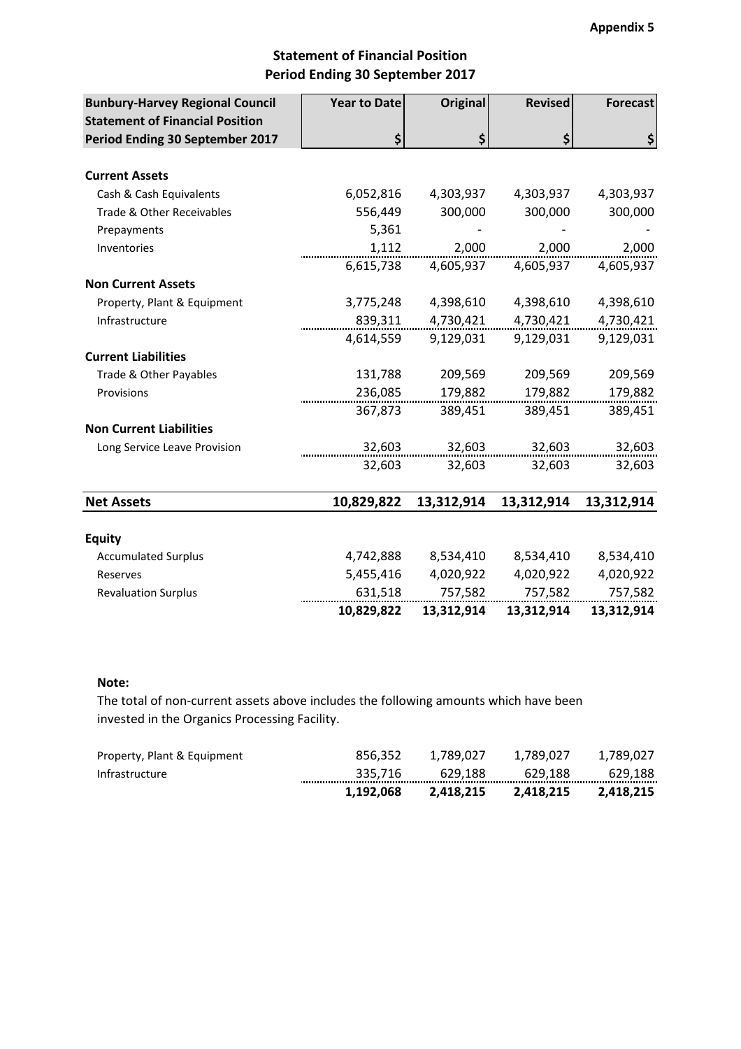### **Statement of Financial Position Period Ending 30 September 2017**

| <b>Bunbury-Harvey Regional Council</b> | <b>Year to Date</b> | <b>Original</b> | <b>Revised</b> | <b>Forecast</b> |
|----------------------------------------|---------------------|-----------------|----------------|-----------------|
| <b>Statement of Financial Position</b> |                     |                 |                |                 |
| Period Ending 30 September 2017        | \$                  | \$              | \$             | \$              |
| <b>Current Assets</b>                  |                     |                 |                |                 |
| Cash & Cash Equivalents                | 6,052,816           | 4,303,937       | 4,303,937      | 4,303,937       |
| Trade & Other Receivables              | 556,449             | 300,000         | 300,000        | 300,000         |
| Prepayments                            | 5,361               |                 |                |                 |
| Inventories                            | 1,112               | 2,000           | 2,000          | 2,000           |
|                                        | 6,615,738           | 4,605,937       | 4,605,937      | 4,605,937       |
| <b>Non Current Assets</b>              |                     |                 |                |                 |
| Property, Plant & Equipment            | 3,775,248           | 4,398,610       | 4,398,610      | 4,398,610       |
| Infrastructure                         | 839,311             | 4,730,421       | 4,730,421      | 4,730,421       |
|                                        | 4,614,559           | 9,129,031       | 9,129,031      | 9,129,031       |
| <b>Current Liabilities</b>             |                     |                 |                |                 |
| Trade & Other Payables                 | 131,788             | 209,569         | 209,569        | 209,569         |
| Provisions                             | 236,085             | 179,882         | 179,882        | 179,882         |
|                                        | 367,873             | 389,451         | 389,451        | 389,451         |
| <b>Non Current Liabilities</b>         |                     |                 |                |                 |
| Long Service Leave Provision           | 32,603              | 32,603          | 32,603         | 32,603          |
|                                        | 32,603              | 32,603          | 32,603         | 32,603          |
| <b>Net Assets</b>                      | 10,829,822          | 13,312,914      | 13,312,914     | 13,312,914      |
|                                        |                     |                 |                |                 |
| <b>Equity</b>                          |                     |                 |                |                 |
| <b>Accumulated Surplus</b>             | 4,742,888           | 8,534,410       | 8,534,410      | 8,534,410       |
| Reserves                               | 5,455,416           | 4,020,922       | 4,020,922      | 4,020,922       |
| <b>Revaluation Surplus</b>             | 631,518             | 757,582         | 757,582        | 757,582         |
|                                        | 10,829,822          | 13,312,914      | 13,312,914     | 13,312,914      |

#### **Note:**

The total of non-current assets above includes the following amounts which have been invested in the Organics Processing Facility.

|                             | 1.192.068 | 2.418.215 | 2.418.215 | 2.418.215   |
|-----------------------------|-----------|-----------|-----------|-------------|
| Infrastructure              | 335.716   | 629.188   | 629.188   | 629.188<br> |
| Property, Plant & Equipment | 856.352   | 1.789.027 | 1.789.027 | 1.789.027   |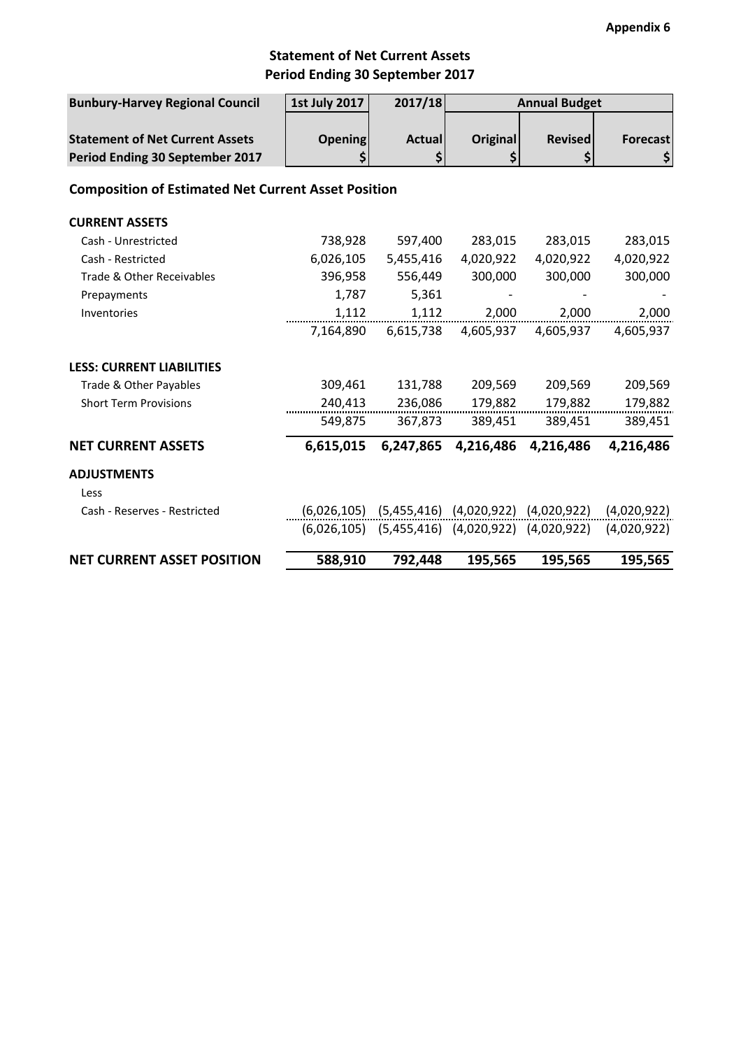## **Statement of Net Current Assets Period Ending 30 September 2017**

| <b>Bunbury-Harvey Regional Council</b>                     | <b>1st July 2017</b> | 2017/18<br><b>Annual Budget</b>                         |                                           |                |             |  |  |  |  |  |
|------------------------------------------------------------|----------------------|---------------------------------------------------------|-------------------------------------------|----------------|-------------|--|--|--|--|--|
|                                                            |                      |                                                         |                                           |                |             |  |  |  |  |  |
| <b>Statement of Net Current Assets</b>                     | <b>Opening</b>       | <b>Actual</b>                                           | <b>Original</b>                           | <b>Revised</b> | Forecast    |  |  |  |  |  |
| Period Ending 30 September 2017                            | \$                   | \$                                                      | \$                                        | \$             | \$          |  |  |  |  |  |
| <b>Composition of Estimated Net Current Asset Position</b> |                      |                                                         |                                           |                |             |  |  |  |  |  |
| <b>CURRENT ASSETS</b>                                      |                      |                                                         |                                           |                |             |  |  |  |  |  |
| Cash - Unrestricted                                        | 738,928              | 597,400                                                 | 283,015                                   | 283,015        | 283,015     |  |  |  |  |  |
| Cash - Restricted                                          | 6,026,105            | 5,455,416                                               | 4,020,922                                 | 4,020,922      | 4,020,922   |  |  |  |  |  |
| Trade & Other Receivables                                  | 396,958              | 556,449                                                 | 300,000                                   | 300,000        | 300,000     |  |  |  |  |  |
| Prepayments                                                | 1,787                | 5,361                                                   |                                           |                |             |  |  |  |  |  |
| Inventories                                                | 1,112                | 1,112                                                   | 2,000                                     | 2,000          | 2,000       |  |  |  |  |  |
|                                                            | 7,164,890            | 6,615,738                                               | 4,605,937                                 | 4,605,937      | 4,605,937   |  |  |  |  |  |
| <b>LESS: CURRENT LIABILITIES</b>                           |                      |                                                         |                                           |                |             |  |  |  |  |  |
| Trade & Other Payables                                     | 309,461              | 131,788                                                 | 209,569                                   | 209,569        | 209,569     |  |  |  |  |  |
| <b>Short Term Provisions</b>                               | 240,413              | 236,086                                                 | 179,882                                   | 179,882        | 179,882     |  |  |  |  |  |
|                                                            | 549,875              | 367,873                                                 | 389,451                                   | 389,451        | 389,451     |  |  |  |  |  |
| <b>NET CURRENT ASSETS</b>                                  | 6,615,015            | 6,247,865                                               | 4,216,486                                 | 4,216,486      | 4,216,486   |  |  |  |  |  |
| <b>ADJUSTMENTS</b>                                         |                      |                                                         |                                           |                |             |  |  |  |  |  |
| Less                                                       |                      |                                                         |                                           |                |             |  |  |  |  |  |
| Cash - Reserves - Restricted                               |                      | $(6,026,105)$ $(5,455,416)$ $(4,020,922)$ $(4,020,922)$ |                                           |                | (4,020,922) |  |  |  |  |  |
|                                                            | (6,026,105)          |                                                         | $(5,455,416)$ $(4,020,922)$ $(4,020,922)$ |                | (4,020,922) |  |  |  |  |  |
| <b>NET CURRENT ASSET POSITION</b>                          | 588,910              | 792,448                                                 | 195,565                                   | 195,565        | 195,565     |  |  |  |  |  |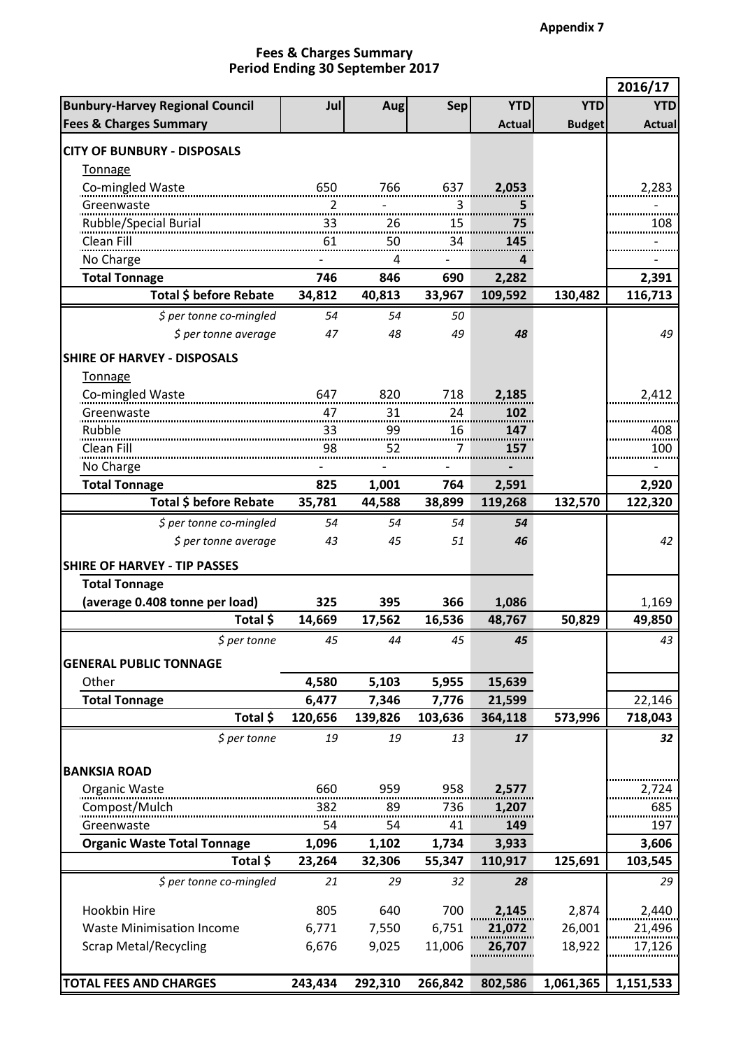$\blacksquare$ 

h

#### **Period Ending 30 September 2017 Fees & Charges Summary**

|                                                |                |            |            |               |               | 2016/17       |
|------------------------------------------------|----------------|------------|------------|---------------|---------------|---------------|
| <b>Bunbury-Harvey Regional Council</b>         | Jul            | <b>Aug</b> | <b>Sep</b> | <b>YTD</b>    | <b>YTD</b>    | <b>YTD</b>    |
| <b>Fees &amp; Charges Summary</b>              |                |            |            | <b>Actual</b> | <b>Budget</b> | <b>Actual</b> |
| <b>CITY OF BUNBURY - DISPOSALS</b>             |                |            |            |               |               |               |
|                                                |                |            |            |               |               |               |
| <b>Tonnage</b>                                 |                | 766        |            |               |               |               |
| Co-mingled Waste 650                           |                |            | 637        | 2,053         |               | 2,283         |
| Greenwaste                                     | $\overline{2}$ |            | 3          | 5             |               |               |
|                                                |                |            | 15         | 75            |               | 108           |
| Clean Fill                                     |                | 50         | 34         | 145           |               |               |
| No Charge                                      |                | 4          |            | 4             |               |               |
| <b>Total Tonnage</b>                           | 746            | 846        | 690        | 2,282         |               | 2,391         |
| Total \$ before Rebate                         | 34,812         | 40,813     | 33,967     | 109,592       | 130,482       | 116,713       |
| \$ per tonne co-mingled                        | 54             | 54         | 50         |               |               |               |
| \$ per tonne average                           | 47             | 48         | 49         | 48            |               | 49            |
| <b>SHIRE OF HARVEY - DISPOSALS</b>             |                |            |            |               |               |               |
| <b>Tonnage</b>                                 |                |            |            |               |               |               |
| Co-mingled Waste                               | 647            | 820        | 718        | 2,185         |               | 2,412         |
| Greenwaste                                     |                |            | 24         | 102           |               |               |
|                                                |                |            |            | 147           |               | 408           |
| Clean Fill                                     |                | 52         | 7          | 157           |               | 100           |
| No Charge                                      |                |            |            |               |               |               |
| <b>Total Tonnage</b>                           | 825            | 1,001      | 764        | 2,591         |               | 2,920         |
| Total \$ before Rebate                         | 35,781         | 44,588     | 38,899     | 119,268       | 132,570       | 122,320       |
|                                                |                |            |            |               |               |               |
| \$ per tonne co-mingled                        | 54             | 54         | 54         | 54            |               |               |
| \$ per tonne average                           | 43             | 45         | 51         | 46            |               | 42            |
| <b>SHIRE OF HARVEY - TIP PASSES</b>            |                |            |            |               |               |               |
| <b>Total Tonnage</b>                           |                |            |            |               |               |               |
| (average 0.408 tonne per load)                 | 325            | 395        | 366        | 1,086         |               | 1,169         |
| Total \$                                       | 14,669         | 17,562     | 16,536     | 48,767        | 50,829        | 49,850        |
| \$ per tonne                                   | 45             | 44         | 45         | 45            |               | 43            |
| <b>GENERAL PUBLIC TONNAGE</b>                  |                |            |            |               |               |               |
| Other                                          | 4,580          | 5,103      | 5,955      | 15,639        |               |               |
| <b>Total Tonnage</b>                           | 6,477          | 7,346      | 7,776      | 21,599        |               | 22,146        |
| Total \$                                       | 120,656        | 139,826    | 103,636    | 364,118       | 573,996       | 718,043       |
|                                                |                |            |            |               |               |               |
| $$$ per tonne                                  | 19             | 19         | 13         | 17            |               | 32            |
| <b>BANKSIA ROAD</b>                            |                |            |            |               |               |               |
| Organic Waste                                  | 660            | 959        | 958        | 2,577         |               |               |
| Compost/Mulch                                  | 382            | 89         | 736        | 1,207         |               | 2,724<br>685  |
|                                                | 54             | 54         | 41         | 149           |               | 197           |
| Greenwaste                                     |                |            |            |               |               |               |
| <b>Organic Waste Total Tonnage</b><br>Total \$ | 1,096          | 1,102      | 1,734      | 3,933         |               | 3,606         |
|                                                | 23,264         | 32,306     | 55,347     | 110,917       | 125,691       | 103,545       |
| \$ per tonne co-mingled                        | 21             | 29         | 32         | 28            |               | 29            |
| Hookbin Hire                                   | 805            | 640        | 700        | 2,145         | 2,874         | 2,440         |
| <b>Waste Minimisation Income</b>               | 6,771          | 7,550      | 6,751      | 21,072        | 26,001        | 21,496        |
| <b>Scrap Metal/Recycling</b>                   | 6,676          | 9,025      | 11,006     | 26,707        | 18,922        | 17,126        |
|                                                |                |            |            |               |               |               |
| <b>TOTAL FEES AND CHARGES</b>                  | 243,434        | 292,310    | 266,842    | 802,586       | 1,061,365     | 1,151,533     |